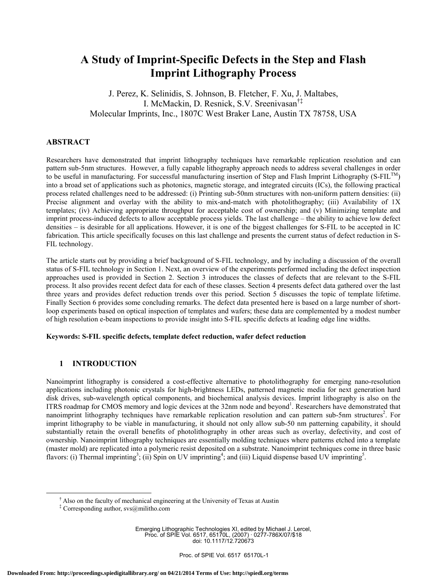# **A Study of Imprint-Specific Defects in the Step and Flash Imprint Lithography Process**

J. Perez, K. Selinidis, S. Johnson, B. Fletcher, F. Xu, J. Maltabes, I. McMackin, D. Resnick, S.V. Sreenivasan†‡ Molecular Imprints, Inc., 1807C West Braker Lane, Austin TX 78758, USA

## **ABSTRACT**

Researchers have demonstrated that imprint lithography techniques have remarkable replication resolution and can pattern sub-5nm structures. However, a fully capable lithography approach needs to address several challenges in order to be useful in manufacturing. For successful manufacturing insertion of Step and Flash Imprint Lithography (S-FIL $^{TM}$ ) into a broad set of applications such as photonics, magnetic storage, and integrated circuits (ICs), the following practical process related challenges need to be addressed: (i) Printing sub-50nm structures with non-uniform pattern densities: (ii) Precise alignment and overlay with the ability to mix-and-match with photolithography; (iii) Availability of 1X templates; (iv) Achieving appropriate throughput for acceptable cost of ownership; and (v) Minimizing template and imprint process-induced defects to allow acceptable process yields. The last challenge – the ability to achieve low defect densities – is desirable for all applications. However, it is one of the biggest challenges for S-FIL to be accepted in IC fabrication. This article specifically focuses on this last challenge and presents the current status of defect reduction in S-FIL technology.

The article starts out by providing a brief background of S-FIL technology, and by including a discussion of the overall status of S-FIL technology in Section 1. Next, an overview of the experiments performed including the defect inspection approaches used is provided in Section 2. Section 3 introduces the classes of defects that are relevant to the S-FIL process. It also provides recent defect data for each of these classes. Section 4 presents defect data gathered over the last three years and provides defect reduction trends over this period. Section 5 discusses the topic of template lifetime. Finally Section 6 provides some concluding remarks. The defect data presented here is based on a large number of shortloop experiments based on optical inspection of templates and wafers; these data are complemented by a modest number of high resolution e-beam inspections to provide insight into S-FIL specific defects at leading edge line widths.

#### **Keywords: S-FIL specific defects, template defect reduction, wafer defect reduction**

#### **1 INTRODUCTION**

Nanoimprint lithography is considered a cost-effective alternative to photolithography for emerging nano-resolution applications including photonic crystals for high-brightness LEDs, patterned magnetic media for next generation hard disk drives, sub-wavelength optical components, and biochemical analysis devices. Imprint lithography is also on the ITRS roadmap for CMOS memory and logic devices at the 32nm node and beyond<sup>1</sup>. Researchers have demonstrated that nanoimprint lithography techniques have remarkable replication resolution and can pattern sub-5nm structures<sup>2</sup>. For imprint lithography to be viable in manufacturing, it should not only allow sub-50 nm patterning capability, it should substantially retain the overall benefits of photolithography in other areas such as overlay, defectivity, and cost of ownership. Nanoimprint lithography techniques are essentially molding techniques where patterns etched into a template (master mold) are replicated into a polymeric resist deposited on a substrate. Nanoimprint techniques come in three basic flavors: (i) Thermal imprinting<sup>3</sup>; (ii) Spin on UV imprinting<sup>4</sup>; and (iii) Liquid dispense based UV imprinting<sup>5</sup>.

Emerging Lithographic Technologies XI, edited by Michael J. Lercel, Proc. of SPIE Vol. 6517, 65170L, (2007) · 0277-786X/07/\$18 doi: 10.1117/12.720673

Proc. of SPIE Vol. 6517 65170L-1

 <sup>†</sup>  $^{\dagger}$  Also on the faculty of mechanical engineering at the University of Texas at Austin

<sup>‡</sup> Corresponding author, svs@militho.com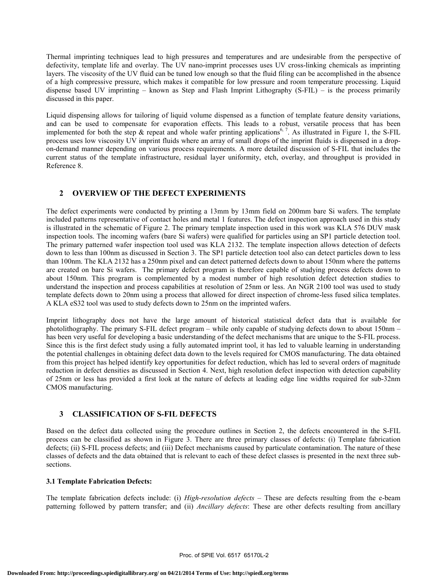Thermal imprinting techniques lead to high pressures and temperatures and are undesirable from the perspective of defectivity, template life and overlay. The UV nano-imprint processes uses UV cross-linking chemicals as imprinting layers. The viscosity of the UV fluid can be tuned low enough so that the fluid filing can be accomplished in the absence of a high compressive pressure, which makes it compatible for low pressure and room temperature processing. Liquid dispense based UV imprinting – known as Step and Flash Imprint Lithography (S-FIL) – is the process primarily discussed in this paper.

Liquid dispensing allows for tailoring of liquid volume dispensed as a function of template feature density variations, and can be used to compensate for evaporation effects. This leads to a robust, versatile process that has been implemented for both the step  $\&$  repeat and whole wafer printing applications<sup>6, 7</sup>. As illustrated in Figure 1, the S-FIL process uses low viscosity UV imprint fluids where an array of small drops of the imprint fluids is dispensed in a dropon-demand manner depending on various process requirements. A more detailed discussion of S-FIL that includes the current status of the template infrastructure, residual layer uniformity, etch, overlay, and throughput is provided in Reference 8.

# **2 OVERVIEW OF THE DEFECT EXPERIMENTS**

The defect experiments were conducted by printing a 13mm by 13mm field on 200mm bare Si wafers. The template included patterns representative of contact holes and metal 1 features. The defect inspection approach used in this study is illustrated in the schematic of Figure 2. The primary template inspection used in this work was KLA 576 DUV mask inspection tools. The incoming wafers (bare Si wafers) were qualified for particles using an SP1 particle detection tool. The primary patterned wafer inspection tool used was KLA 2132. The template inspection allows detection of defects down to less than 100nm as discussed in Section 3. The SP1 particle detection tool also can detect particles down to less than 100nm. The KLA 2132 has a 250nm pixel and can detect patterned defects down to about 150nm where the patterns are created on bare Si wafers. The primary defect program is therefore capable of studying process defects down to about 150nm. This program is complemented by a modest number of high resolution defect detection studies to understand the inspection and process capabilities at resolution of 25nm or less. An NGR 2100 tool was used to study template defects down to 20nm using a process that allowed for direct inspection of chrome-less fused silica templates. A KLA eS32 tool was used to study defects down to 25nm on the imprinted wafers.

Imprint lithography does not have the large amount of historical statistical defect data that is available for photolithography. The primary S-FIL defect program – while only capable of studying defects down to about 150nm – has been very useful for developing a basic understanding of the defect mechanisms that are unique to the S-FIL process. Since this is the first defect study using a fully automated imprint tool, it has led to valuable learning in understanding the potential challenges in obtaining defect data down to the levels required for CMOS manufacturing. The data obtained from this project has helped identify key opportunities for defect reduction, which has led to several orders of magnitude reduction in defect densities as discussed in Section 4. Next, high resolution defect inspection with detection capability of 25nm or less has provided a first look at the nature of defects at leading edge line widths required for sub-32nm CMOS manufacturing.

# **3 CLASSIFICATION OF S-FIL DEFECTS**

Based on the defect data collected using the procedure outlines in Section 2, the defects encountered in the S-FIL process can be classified as shown in Figure 3. There are three primary classes of defects: (i) Template fabrication defects; (ii) S-FIL process defects; and (iii) Defect mechanisms caused by particulate contamination. The nature of these classes of defects and the data obtained that is relevant to each of these defect classes is presented in the next three subsections.

#### **3.1 Template Fabrication Defects:**

The template fabrication defects include: (i) *High-resolution defects* – These are defects resulting from the e-beam patterning followed by pattern transfer; and (ii) *Ancillary defects*: These are other defects resulting from ancillary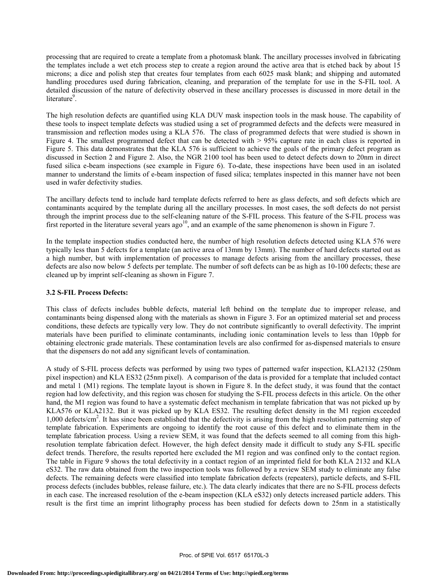processing that are required to create a template from a photomask blank. The ancillary processes involved in fabricating the templates include a wet etch process step to create a region around the active area that is etched back by about 15 microns; a dice and polish step that creates four templates from each 6025 mask blank; and shipping and automated handling procedures used during fabrication, cleaning, and preparation of the template for use in the S-FIL tool. A detailed discussion of the nature of defectivity observed in these ancillary processes is discussed in more detail in the literature<sup>9</sup>.

The high resolution defects are quantified using KLA DUV mask inspection tools in the mask house. The capability of these tools to inspect template defects was studied using a set of programmed defects and the defects were measured in transmission and reflection modes using a KLA 576. The class of programmed defects that were studied is shown in Figure 4. The smallest programmed defect that can be detected with  $> 95\%$  capture rate in each class is reported in Figure 5. This data demonstrates that the KLA 576 is sufficient to achieve the goals of the primary defect program as discussed in Section 2 and Figure 2. Also, the NGR 2100 tool has been used to detect defects down to 20nm in direct fused silica e-beam inspections (see example in Figure 6). To-date, these inspections have been used in an isolated manner to understand the limits of e-beam inspection of fused silica; templates inspected in this manner have not been used in wafer defectivity studies.

The ancillary defects tend to include hard template defects referred to here as glass defects, and soft defects which are contaminants acquired by the template during all the ancillary processes. In most cases, the soft defects do not persist through the imprint process due to the self-cleaning nature of the S-FIL process. This feature of the S-FIL process was first reported in the literature several years ago<sup>10</sup>, and an example of the same phenomenon is shown in Figure 7.

In the template inspection studies conducted here, the number of high resolution defects detected using KLA 576 were typically less than 5 defects for a template (an active area of 13mm by 13mm). The number of hard defects started out as a high number, but with implementation of processes to manage defects arising from the ancillary processes, these defects are also now below 5 defects per template. The number of soft defects can be as high as 10-100 defects; these are cleaned up by imprint self-cleaning as shown in Figure 7.

#### **3.2 S-FIL Process Defects:**

This class of defects includes bubble defects, material left behind on the template due to improper release, and contaminants being dispensed along with the materials as shown in Figure 3. For an optimized material set and process conditions, these defects are typically very low. They do not contribute significantly to overall defectivity. The imprint materials have been purified to eliminate contaminants, including ionic contamination levels to less than 10ppb for obtaining electronic grade materials. These contamination levels are also confirmed for as-dispensed materials to ensure that the dispensers do not add any significant levels of contamination.

A study of S-FIL process defects was performed by using two types of patterned wafer inspection, KLA2132 (250nm pixel inspection) and KLA ES32 (25nm pixel). A comparison of the data is provided for a template that included contact and metal 1 (M1) regions. The template layout is shown in Figure 8. In the defect study, it was found that the contact region had low defectivity, and this region was chosen for studying the S-FIL process defects in this article. On the other hand, the M1 region was found to have a systematic defect mechanism in template fabrication that was not picked up by KLA576 or KLA2132. But it was picked up by KLA ES32. The resulting defect density in the M1 region exceeded 1,000 defects/cm<sup>2</sup>. It has since been established that the defectivity is arising from the high resolution patterning step of template fabrication. Experiments are ongoing to identify the root cause of this defect and to eliminate them in the template fabrication process. Using a review SEM, it was found that the defects seemed to all coming from this highresolution template fabrication defect. However, the high defect density made it difficult to study any S-FIL specific defect trends. Therefore, the results reported here excluded the M1 region and was confined only to the contact region. The table in Figure 9 shows the total defectivity in a contact region of an imprinted field for both KLA 2132 and KLA eS32. The raw data obtained from the two inspection tools was followed by a review SEM study to eliminate any false defects. The remaining defects were classified into template fabrication defects (repeaters), particle defects, and S-FIL process defects (includes bubbles, release failure, etc.). The data clearly indicates that there are no S-FIL process defects in each case. The increased resolution of the e-beam inspection (KLA eS32) only detects increased particle adders. This result is the first time an imprint lithography process has been studied for defects down to 25nm in a statistically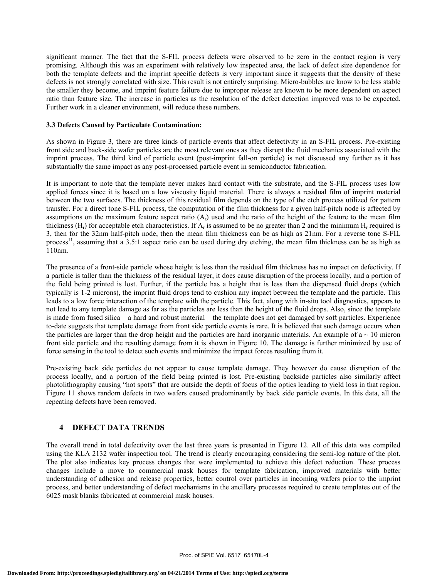significant manner. The fact that the S-FIL process defects were observed to be zero in the contact region is very promising. Although this was an experiment with relatively low inspected area, the lack of defect size dependence for both the template defects and the imprint specific defects is very important since it suggests that the density of these defects is not strongly correlated with size. This result is not entirely surprising. Micro-bubbles are know to be less stable the smaller they become, and imprint feature failure due to improper release are known to be more dependent on aspect ratio than feature size. The increase in particles as the resolution of the defect detection improved was to be expected. Further work in a cleaner environment, will reduce these numbers.

#### **3.3 Defects Caused by Particulate Contamination:**

As shown in Figure 3, there are three kinds of particle events that affect defectivity in an S-FIL process. Pre-existing front side and back-side wafer particles are the most relevant ones as they disrupt the fluid mechanics associated with the imprint process. The third kind of particle event (post-imprint fall-on particle) is not discussed any further as it has substantially the same impact as any post-processed particle event in semiconductor fabrication.

It is important to note that the template never makes hard contact with the substrate, and the S-FIL process uses low applied forces since it is based on a low viscosity liquid material. There is always a residual film of imprint material between the two surfaces. The thickness of this residual film depends on the type of the etch process utilized for pattern transfer. For a direct tone S-FIL process, the computation of the film thickness for a given half-pitch node is affected by assumptions on the maximum feature aspect ratio  $(A<sub>r</sub>)$  used and the ratio of the height of the feature to the mean film thickness (H<sub>r</sub>) for acceptable etch characteristics. If A<sub>r</sub> is assumed to be no greater than 2 and the minimum H<sub>r</sub> required is 3, then for the 32nm half-pitch node, then the mean film thickness can be as high as 21nm. For a reverse tone S-FIL process<sup>11</sup>, assuming that a 3.5:1 aspect ratio can be used during dry etching, the mean film thickness can be as high as 110nm.

The presence of a front-side particle whose height is less than the residual film thickness has no impact on defectivity. If a particle is taller than the thickness of the residual layer, it does cause disruption of the process locally, and a portion of the field being printed is lost. Further, if the particle has a height that is less than the dispensed fluid drops (which typically is 1-2 microns), the imprint fluid drops tend to cushion any impact between the template and the particle. This leads to a low force interaction of the template with the particle. This fact, along with in-situ tool diagnostics, appears to not lead to any template damage as far as the particles are less than the height of the fluid drops. Also, since the template is made from fused silica – a hard and robust material – the template does not get damaged by soft particles. Experience to-date suggests that template damage from front side particle events is rare. It is believed that such damage occurs when the particles are larger than the drop height and the particles are hard inorganic materials. An example of  $a \sim 10$  micron front side particle and the resulting damage from it is shown in Figure 10. The damage is further minimized by use of force sensing in the tool to detect such events and minimize the impact forces resulting from it.

Pre-existing back side particles do not appear to cause template damage. They however do cause disruption of the process locally, and a portion of the field being printed is lost. Pre-existing backside particles also similarly affect photolithography causing "hot spots" that are outside the depth of focus of the optics leading to yield loss in that region. Figure 11 shows random defects in two wafers caused predominantly by back side particle events. In this data, all the repeating defects have been removed.

# **4 DEFECT DATA TRENDS**

The overall trend in total defectivity over the last three years is presented in Figure 12. All of this data was compiled using the KLA 2132 wafer inspection tool. The trend is clearly encouraging considering the semi-log nature of the plot. The plot also indicates key process changes that were implemented to achieve this defect reduction. These process changes include a move to commercial mask houses for template fabrication, improved materials with better understanding of adhesion and release properties, better control over particles in incoming wafers prior to the imprint process, and better understanding of defect mechanisms in the ancillary processes required to create templates out of the 6025 mask blanks fabricated at commercial mask houses.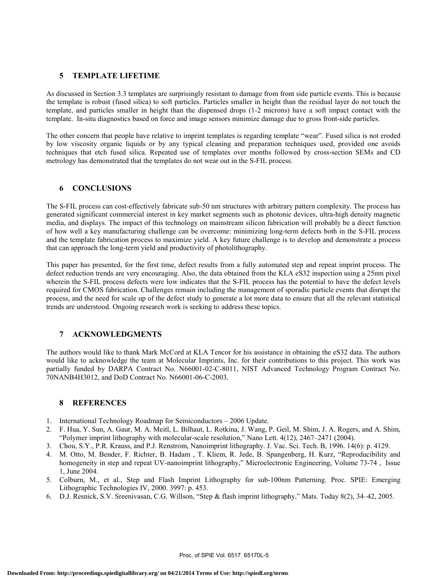### **5 TEMPLATE LIFETIME**

As discussed in Section 3.3 templates are surprisingly resistant to damage from front side particle events. This is because the template is robust (fused silica) to soft particles. Particles smaller in height than the residual layer do not touch the template, and particles smaller in height than the dispensed drops (1-2 microns) have a soft impact contact with the template. In-situ diagnostics based on force and image sensors minimize damage due to gross front-side particles.

The other concern that people have relative to imprint templates is regarding template "wear". Fused silica is not eroded by low viscosity organic liquids or by any typical cleaning and preparation techniques used, provided one avoids techniques that etch fused silica. Repeated use of templates over months followed by cross-section SEMs and CD metrology has demonstrated that the templates do not wear out in the S-FIL process.

## **6 CONCLUSIONS**

The S-FIL process can cost-effectively fabricate sub-50 nm structures with arbitrary pattern complexity. The process has generated significant commercial interest in key market segments such as photonic devices, ultra-high density magnetic media, and displays. The impact of this technology on mainstream silicon fabrication will probably be a direct function of how well a key manufacturing challenge can be overcome: minimizing long-term defects both in the S-FIL process and the template fabrication process to maximize yield. A key future challenge is to develop and demonstrate a process that can approach the long-term yield and productivity of photolithography.

This paper has presented, for the first time, defect results from a fully automated step and repeat imprint process. The defect reduction trends are very encouraging. Also, the data obtained from the KLA eS32 inspection using a 25nm pixel wherein the S-FIL process defects were low indicates that the S-FIL process has the potential to have the defect levels required for CMOS fabrication. Challenges remain including the management of sporadic particle events that disrupt the process, and the need for scale up of the defect study to generate a lot more data to ensure that all the relevant statistical trends are understood. Ongoing research work is seeking to address these topics.

## **7 ACKNOWLEDGMENTS**

The authors would like to thank Mark McCord at KLA Tencor for his assistance in obtaining the eS32 data. The authors would like to acknowledge the team at Molecular Imprints, Inc. for their contributions to this project. This work was partially funded by DARPA Contract No. N66001-02-C-8011, NIST Advanced Technology Program Contract No. 70NANB4H3012, and DoD Contract No. N66001-06-C-2003.

#### **8 REFERENCES**

- 1. International Technology Roadmap for Semiconductors 2006 Update.
- 2. F. Hua, Y. Sun, A. Gaur, M. A. Meitl, L. Bilhaut, L. Rotkina, J. Wang, P. Geil, M. Shim, J. A. Rogers, and A. Shim, "Polymer imprint lithography with molecular-scale resolution," Nano Lett. 4(12), 2467–2471 (2004).
- 3. Chou, S.Y., P.R. Krauss, and P.J. Renstrom, Nanoimprint lithography. J. Vac. Sci. Tech. B, 1996. 14(6): p. 4129.
- 4. M. Otto, M. Bender, F. Richter, B. Hadam , T. Kliem, R. Jede, B. Spangenberg, H. Kurz, "Reproducibility and homogeneity in step and repeat UV-nanoimprint lithography," Microelectronic Engineering, Volume 73-74, Issue 1, June 2004.
- 5. Colburn, M., et al., Step and Flash Imprint Lithography for sub-100nm Patterning. Proc. SPIE: Emerging Lithographic Technologies IV, 2000. 3997: p. 453.
- 6. D.J. Resnick, S.V. Sreenivasan, C.G. Willson, "Step & flash imprint lithography," Mats. Today 8(2), 34–42, 2005.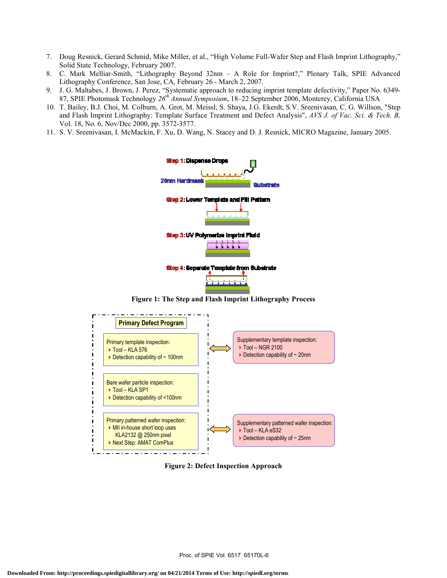- 7. Doug Resnick, Gerard Schmid, Mike Miller, et al., "High Volume Full-Wafer Step and Flash Imprint Lithography," Solid State Technology, February 2007.
- 8. C. Mark Melliar-Smith, "Lithography Beyond 32nm A Role for Imprint?," Plenary Talk, SPIE Advanced Lithography Conference, San Jose, CA, February 26 - March 2, 2007.
- 9. J. G. Maltabes, J. Brown, J. Perez, "Systematic approach to reducing imprint template defectivity," Paper No. 6349- 87, SPIE Photomask Technology *26th Annual Symposium*, 18–22 September 2006, Monterey, California USA
- 10. T. Bailey, B.J. Choi, M. Colburn, A. Grot, M. Meissl, S. Shaya, J.G. Ekerdt, S.V. Sreenivasan, C. G. Willson, "Step and Flash Imprint Lithography: Template Surface Treatment and Defect Analysis", *AVS J. of Vac. Sci. & Tech. B,*  Vol. 18, No. 6, Nov/Dec 2000, pp. 3572-3577.
- 11. S. V. Sreenivasan, I. McMackin, F. Xu, D. Wang, N. Stacey and D. J. Resnick, MICRO Magazine, January 2005.



**Figure 1: The Step and Flash Imprint Lithography Process** 



**Figure 2: Defect Inspection Approach**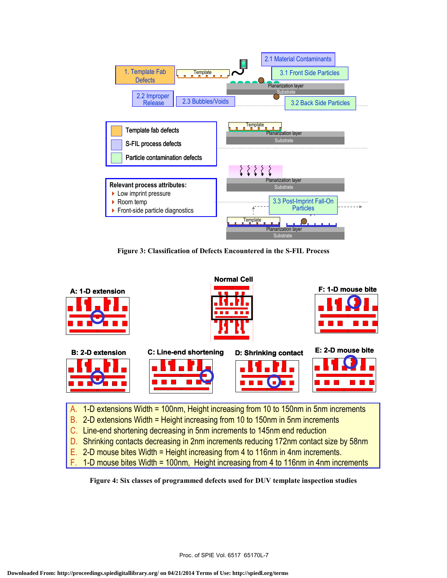

**Figure 3: Classification of Defects Encountered in the S-FIL Process** 



- E. 2-D mouse bites Width = Height increasing from 4 to 116nm in 4nm increments.
- 1-D mouse bites Width = 100nm, Height increasing from 4 to 116nm in 4nm increments

**Figure 4: Six classes of programmed defects used for DUV template inspection studies** 

Proc. of SPIE Vol. 6517 65170L-7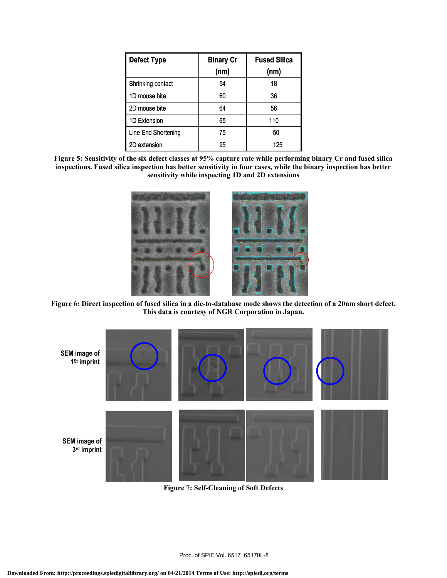| <b>Defect Type</b>  | <b>Binary Cr</b><br>(nm) | <b>Fused Silica</b><br>(nm) |
|---------------------|--------------------------|-----------------------------|
| Shrinking contact   | 54                       | 18                          |
| 1D mouse bite       | 60                       | 36                          |
| 2D mouse bite       | 64                       | 56                          |
| <b>1D Extension</b> | 65                       | 110                         |
| Line End Shortening | 75                       | 50                          |
| 2D extension        | 95                       | 125                         |

**Figure 5: Sensitivity of the six defect classes at 95% capture rate while performing binary Cr and fused silica inspections. Fused silica inspection has better sensitivity in four cases, while the binary inspection has better sensitivity while inspecting 1D and 2D extensions** 



**Figure 6: Direct inspection of fused silica in a die-to-database mode shows the detection of a 20nm short defect. This data is courtesy of NGR Corporation in Japan.** 



**Figure 7: Self-Cleaning of Soft Defects**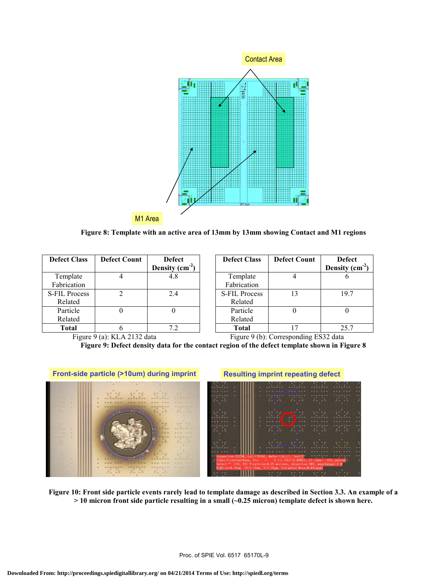

**Figure 8: Template with an active area of 13mm by 13mm showing Contact and M1 regions** 

| <b>Defect Class</b>  | <b>Defect Count</b> | <b>Defect</b>    | <b>Defect Class</b>  | <b>Defect Count</b> | <b>Defec</b> |
|----------------------|---------------------|------------------|----------------------|---------------------|--------------|
|                      |                     | Density $(cm-2)$ |                      |                     | Density (o   |
| Template             |                     | 4.8              | Template             |                     |              |
| Fabrication          |                     |                  | Fabrication          |                     |              |
| <b>S-FIL Process</b> |                     | 2.4              | <b>S-FIL Process</b> | 13                  | 19.7         |
| Related              |                     |                  | Related              |                     |              |
| Particle             |                     |                  | Particle             |                     |              |
| Related              |                     |                  | Related              |                     |              |
| Total                |                     | 7.2              | <b>Total</b>         |                     | 25.7         |

| <b>Defect Class</b> | <b>Defect Count</b> | <b>Defect</b><br>Density $\text{cm}^{-2}$ |
|---------------------|---------------------|-------------------------------------------|
| Template            |                     |                                           |
| Fabrication         |                     |                                           |
| S-FIL Process       | 13                  | 19.7                                      |
| Related             |                     |                                           |
| Particle            |                     |                                           |
| Related             |                     |                                           |
| <b>Total</b>        |                     | 25.7                                      |

Figure 9 (a): KLA 2132 data Figure 9 (b): Corresponding ES32 data

**Figure 9: Defect density data for the contact region of the defect template shown in Figure 8** 



**Figure 10: Front side particle events rarely lead to template damage as described in Section 3.3. An example of a > 10 micron front side particle resulting in a small (~0.25 micron) template defect is shown here.**